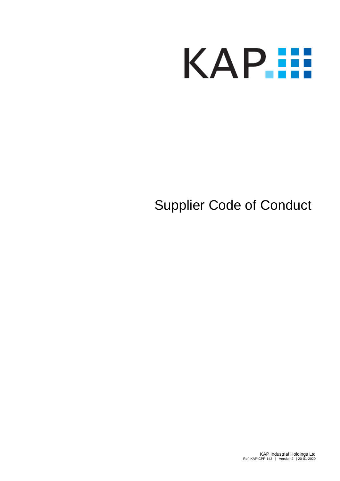

# Supplier Code of Conduct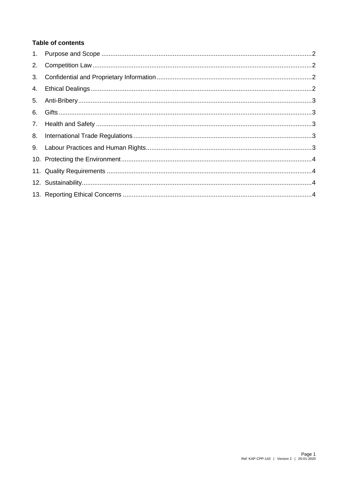# **Table of contents**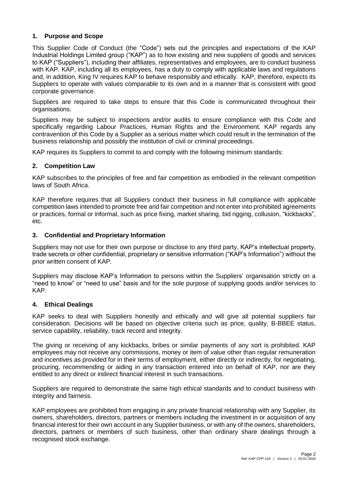### <span id="page-2-0"></span>**1. Purpose and Scope**

This Supplier Code of Conduct (the "Code") sets out the principles and expectations of the KAP Industrial Holdings Limited group ("KAP") as to how existing and new suppliers of goods and services to KAP ("Suppliers"), including their affiliates, representatives and employees, are to conduct business with KAP. KAP, including all its employees, has a duty to comply with applicable laws and regulations and, in addition, King IV requires KAP to behave responsibly and ethically. KAP, therefore, expects its Suppliers to operate with values comparable to its own and in a manner that is consistent with good corporate governance.

Suppliers are required to take steps to ensure that this Code is communicated throughout their organisations.

Suppliers may be subject to inspections and/or audits to ensure compliance with this Code and specifically regarding Labour Practices, Human Rights and the Environment. KAP regards any contravention of this Code by a Supplier as a serious matter which could result in the termination of the business relationship and possibly the institution of civil or criminal proceedings.

KAP requires its Suppliers to commit to and comply with the following minimum standards:

#### <span id="page-2-1"></span>**2. Competition Law**

KAP subscribes to the principles of free and fair competition as embodied in the relevant competition laws of South Africa.

KAP therefore requires that all Suppliers conduct their business in full compliance with applicable competition laws intended to promote free and fair competition and not enter into prohibited agreements or practices, formal or informal, such as price fixing, market sharing, bid rigging, collusion, "kickbacks", etc.

#### <span id="page-2-2"></span>**3. Confidential and Proprietary Information**

Suppliers may not use for their own purpose or disclose to any third party, KAP's intellectual property, trade secrets or other confidential, proprietary or sensitive information ("KAP's Information") without the prior written consent of KAP.

Suppliers may disclose KAP's Information to persons within the Suppliers' organisation strictly on a "need to know" or "need to use" basis and for the sole purpose of supplying goods and/or services to KAP.

#### <span id="page-2-3"></span>**4. Ethical Dealings**

KAP seeks to deal with Suppliers honestly and ethically and will give all potential suppliers fair consideration. Decisions will be based on objective criteria such as price, quality, B-BBEE status, service capability, reliability, track record and integrity.

The giving or receiving of any kickbacks, bribes or similar payments of any sort is prohibited. KAP employees may not receive any commissions, money or item of value other than regular remuneration and incentives as provided for in their terms of employment, either directly or indirectly, for negotiating, procuring, recommending or aiding in any transaction entered into on behalf of KAP, nor are they entitled to any direct or indirect financial interest in such transactions.

Suppliers are required to demonstrate the same high ethical standards and to conduct business with integrity and fairness.

KAP employees are prohibited from engaging in any private financial relationship with any Supplier, its owners, shareholders, directors, partners or members including the investment in or acquisition of any financial interest for their own account in any Supplier business, or with any of the owners, shareholders, directors, partners or members of such business, other than ordinary share dealings through a recognised stock exchange.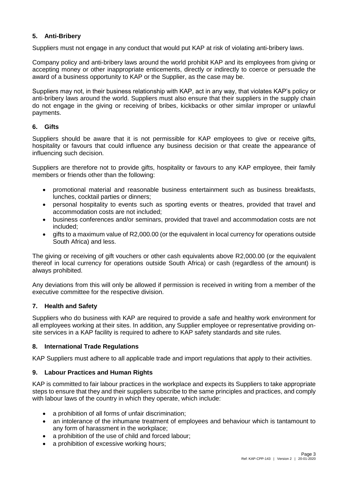## <span id="page-3-0"></span>**5. Anti-Bribery**

Suppliers must not engage in any conduct that would put KAP at risk of violating anti-bribery laws.

Company policy and anti-bribery laws around the world prohibit KAP and its employees from giving or accepting money or other inappropriate enticements, directly or indirectly to coerce or persuade the award of a business opportunity to KAP or the Supplier, as the case may be.

Suppliers may not, in their business relationship with KAP, act in any way, that violates KAP's policy or anti-bribery laws around the world. Suppliers must also ensure that their suppliers in the supply chain do not engage in the giving or receiving of bribes, kickbacks or other similar improper or unlawful payments.

#### <span id="page-3-1"></span>**6. Gifts**

Suppliers should be aware that it is not permissible for KAP employees to give or receive gifts, hospitality or favours that could influence any business decision or that create the appearance of influencing such decision.

Suppliers are therefore not to provide gifts, hospitality or favours to any KAP employee, their family members or friends other than the following:

- promotional material and reasonable business entertainment such as business breakfasts, lunches, cocktail parties or dinners;
- personal hospitality to events such as sporting events or theatres, provided that travel and accommodation costs are not included;
- business conferences and/or seminars, provided that travel and accommodation costs are not included;
- gifts to a maximum value of R2,000.00 (or the equivalent in local currency for operations outside South Africa) and less.

The giving or receiving of gift vouchers or other cash equivalents above R2,000.00 (or the equivalent thereof in local currency for operations outside South Africa) or cash (regardless of the amount) is always prohibited.

Any deviations from this will only be allowed if permission is received in writing from a member of the executive committee for the respective division.

#### <span id="page-3-2"></span>**7. Health and Safety**

Suppliers who do business with KAP are required to provide a safe and healthy work environment for all employees working at their sites. In addition, any Supplier employee or representative providing onsite services in a KAP facility is required to adhere to KAP safety standards and site rules.

#### <span id="page-3-3"></span>**8. International Trade Regulations**

<span id="page-3-4"></span>KAP Suppliers must adhere to all applicable trade and import regulations that apply to their activities.

#### **9. Labour Practices and Human Rights**

KAP is committed to fair labour practices in the workplace and expects its Suppliers to take appropriate steps to ensure that they and their suppliers subscribe to the same principles and practices, and comply with labour laws of the country in which they operate, which include:

- a prohibition of all forms of unfair discrimination:
- an intolerance of the inhumane treatment of employees and behaviour which is tantamount to any form of harassment in the workplace;
- a prohibition of the use of child and forced labour;
- a prohibition of excessive working hours;